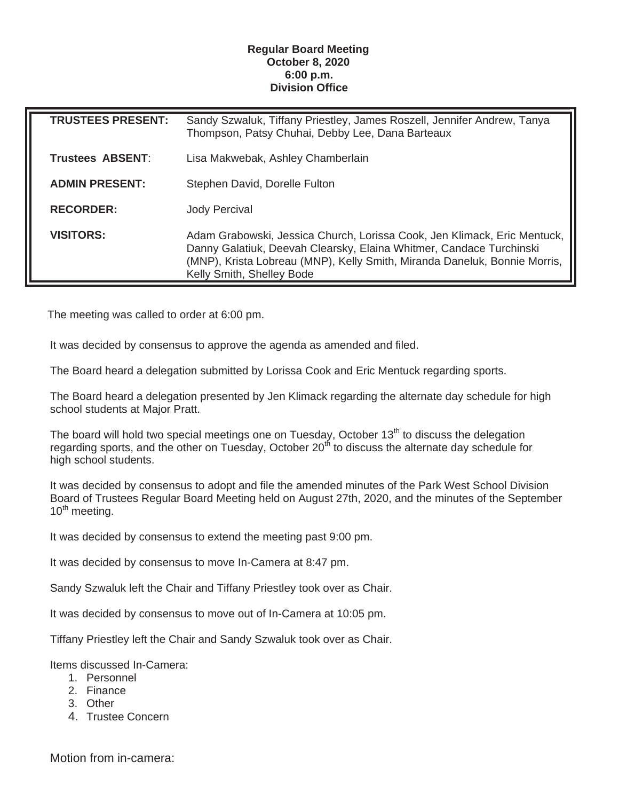## **Regular Board Meeting October 8, 2020 6:00 p.m. Division Office**

| <b>TRUSTEES PRESENT:</b> | Sandy Szwaluk, Tiffany Priestley, James Roszell, Jennifer Andrew, Tanya<br>Thompson, Patsy Chuhai, Debby Lee, Dana Barteaux                                                                                                                               |
|--------------------------|-----------------------------------------------------------------------------------------------------------------------------------------------------------------------------------------------------------------------------------------------------------|
| Trustees ABSENT:         | Lisa Makwebak, Ashley Chamberlain                                                                                                                                                                                                                         |
| <b>ADMIN PRESENT:</b>    | Stephen David, Dorelle Fulton                                                                                                                                                                                                                             |
| <b>RECORDER:</b>         | <b>Jody Percival</b>                                                                                                                                                                                                                                      |
| <b>VISITORS:</b>         | Adam Grabowski, Jessica Church, Lorissa Cook, Jen Klimack, Eric Mentuck,<br>Danny Galatiuk, Deevah Clearsky, Elaina Whitmer, Candace Turchinski<br>(MNP), Krista Lobreau (MNP), Kelly Smith, Miranda Daneluk, Bonnie Morris,<br>Kelly Smith, Shelley Bode |

The meeting was called to order at 6:00 pm.

It was decided by consensus to approve the agenda as amended and filed.

The Board heard a delegation submitted by Lorissa Cook and Eric Mentuck regarding sports.

The Board heard a delegation presented by Jen Klimack regarding the alternate day schedule for high school students at Major Pratt.

The board will hold two special meetings one on Tuesday, October 13<sup>th</sup> to discuss the delegation regarding sports, and the other on Tuesday, October 20<sup>th</sup> to discuss the alternate day schedule for high school students.

It was decided by consensus to adopt and file the amended minutes of the Park West School Division Board of Trustees Regular Board Meeting held on August 27th, 2020, and the minutes of the September  $10^{th}$  meeting.

It was decided by consensus to extend the meeting past 9:00 pm.

It was decided by consensus to move In-Camera at 8:47 pm.

Sandy Szwaluk left the Chair and Tiffany Priestley took over as Chair.

It was decided by consensus to move out of In-Camera at 10:05 pm.

Tiffany Priestley left the Chair and Sandy Szwaluk took over as Chair.

Items discussed In-Camera:

- 1. Personnel
- 2. Finance
- 3. Other
- 4. Trustee Concern

Motion from in-camera: